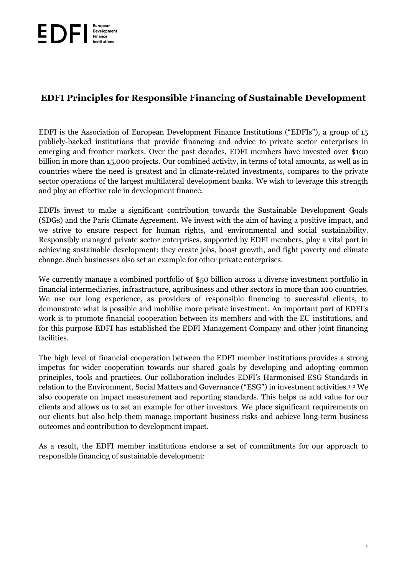# **EDFI Principles for Responsible Financing of Sustainable Development**

EDFI is the Association of European Development Finance Institutions ("EDFIs"), a group of 15 publicly-backed institutions that provide financing and advice to private sector enterprises in emerging and frontier markets. Over the past decades, EDFI members have invested over \$100 billion in more than 15,000 projects. Our combined activity, in terms of total amounts, as well as in countries where the need is greatest and in climate-related investments, compares to the private sector operations of the largest multilateral development banks. We wish to leverage this strength and play an effective role in development finance.

EDFIs invest to make a significant contribution towards the Sustainable Development Goals (SDGs) and the Paris Climate Agreement. We invest with the aim of having a positive impact, and we strive to ensure respect for human rights, and environmental and social sustainability. Responsibly managed private sector enterprises, supported by EDFI members, play a vital part in achieving sustainable development: they create jobs, boost growth, and fight poverty and climate change. Such businesses also set an example for other private enterprises.

We currently manage a combined portfolio of \$50 billion across a diverse investment portfolio in financial intermediaries, infrastructure, agribusiness and other sectors in more than 100 countries. We use our long experience, as providers of responsible financing to successful clients, to demonstrate what is possible and mobilise more private investment. An important part of EDFI's work is to promote financial cooperation between its members and with the EU institutions, and for this purpose EDFI has established the EDFI Management Company and other joint financing facilities.

The high level of financial cooperation between the EDFI member institutions provides a strong impetus for wider cooperation towards our shared goals by developing and adopting common principles, tools and practices. Our collaboration includes EDFI's Harmonised ESG Standards in relation to the Environment, Social Matters and Governance ("ESG") in investment activities.1, <sup>2</sup> We also cooperate on impact measurement and reporting standards. This helps us add value for our clients and allows us to set an example for other investors. We place significant requirements on our clients but also help them manage important business risks and achieve long-term business outcomes and contribution to development impact.

As a result, the EDFI member institutions endorse a set of commitments for our approach to responsible financing of sustainable development: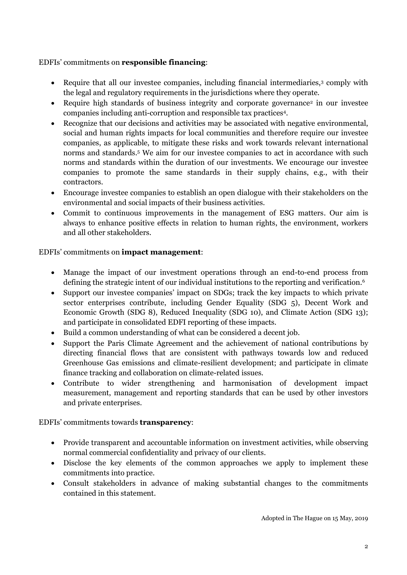## EDFIs' commitments on **responsible financing**:

- Require that all our investee companies, including financial intermediaries,<sup>3</sup> comply with the legal and regulatory requirements in the jurisdictions where they operate.
- Require high standards of business integrity and corporate governance<sup>2</sup> in our investee companies including anti-corruption and responsible tax practices<sup>4</sup> .
- Recognize that our decisions and activities may be associated with negative environmental, social and human rights impacts for local communities and therefore require our investee companies, as applicable, to mitigate these risks and work towards relevant international norms and standards. <sup>5</sup> We aim for our investee companies to act in accordance with such norms and standards within the duration of our investments. We encourage our investee companies to promote the same standards in their supply chains, e.g., with their contractors.
- Encourage investee companies to establish an open dialogue with their stakeholders on the environmental and social impacts of their business activities.
- Commit to continuous improvements in the management of ESG matters. Our aim is always to enhance positive effects in relation to human rights, the environment, workers and all other stakeholders.

## EDFIs' commitments on **impact management**:

- Manage the impact of our investment operations through an end-to-end process from defining the strategic intent of our individual institutions to the reporting and verification. 6
- Support our investee companies' impact on SDGs; track the key impacts to which private sector enterprises contribute, including Gender Equality (SDG 5), Decent Work and Economic Growth (SDG 8), Reduced Inequality (SDG 10), and Climate Action (SDG 13); and participate in consolidated EDFI reporting of these impacts.
- Build a common understanding of what can be considered a decent job.
- Support the Paris Climate Agreement and the achievement of national contributions by directing financial flows that are consistent with pathways towards low and reduced Greenhouse Gas emissions and climate-resilient development; and participate in climate finance tracking and collaboration on climate-related issues.
- Contribute to wider strengthening and harmonisation of development impact measurement, management and reporting standards that can be used by other investors and private enterprises.

## EDFIs' commitments towards **transparency**:

- Provide transparent and accountable information on investment activities, while observing normal commercial confidentiality and privacy of our clients.
- Disclose the key elements of the common approaches we apply to implement these commitments into practice.
- Consult stakeholders in advance of making substantial changes to the commitments contained in this statement.